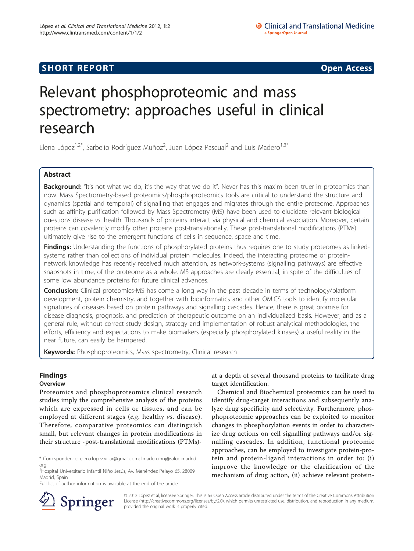# **SHORT REPORT SHORT CONSUMING THE SHORT CONSUMING THE SHORT CONSUMING THE SHORT CONSUMING THE SHORT CONSUMING THE SHORT CONSUMING THE SHORT CONSUMING THE SHORT CONSUMING THE SHORT CONSUMING THE SHORT CONSUMING THE SHORT**

# Relevant phosphoproteomic and mass spectrometry: approaches useful in clinical research

Elena López<sup>1,2\*</sup>, Sarbelio Rodríguez Muñoz<sup>2</sup>, Juan López Pascual<sup>2</sup> and Luis Madero<sup>1,3\*</sup>

# Abstract

**Background:** "It's not what we do, it's the way that we do it". Never has this maxim been truer in proteomics than now. Mass Spectrometry-based proteomics/phosphoproteomics tools are critical to understand the structure and dynamics (spatial and temporal) of signalling that engages and migrates through the entire proteome. Approaches such as affinity purification followed by Mass Spectrometry (MS) have been used to elucidate relevant biological questions disease vs. health. Thousands of proteins interact via physical and chemical association. Moreover, certain proteins can covalently modify other proteins post-translationally. These post-translational modifications (PTMs) ultimately give rise to the emergent functions of cells in sequence, space and time.

Findings: Understanding the functions of phosphorylated proteins thus requires one to study proteomes as linkedsystems rather than collections of individual protein molecules. Indeed, the interacting proteome or proteinnetwork knowledge has recently received much attention, as network-systems (signalling pathways) are effective snapshots in time, of the proteome as a whole. MS approaches are clearly essential, in spite of the difficulties of some low abundance proteins for future clinical advances.

**Conclusion:** Clinical proteomics-MS has come a long way in the past decade in terms of technology/platform development, protein chemistry, and together with bioinformatics and other OMICS tools to identify molecular signatures of diseases based on protein pathways and signalling cascades. Hence, there is great promise for disease diagnosis, prognosis, and prediction of therapeutic outcome on an individualized basis. However, and as a general rule, without correct study design, strategy and implementation of robust analytical methodologies, the efforts, efficiency and expectations to make biomarkers (especially phosphorylated kinases) a useful reality in the near future, can easily be hampered.

Keywords: Phosphoproteomics, Mass spectrometry, Clinical research

# Findings

## **Overview**

Proteomics and phosphoproteomics clinical research studies imply the comprehensive analysis of the proteins which are expressed in cells or tissues, and can be employed at different stages (e.g. healthy vs. disease). Therefore, comparative proteomics can distinguish small, but relevant changes in protein modifications in their structure -post-translational modifications (PTMs)-

Full list of author information is available at the end of the article

at a depth of several thousand proteins to facilitate drug target identification.

Chemical and Biochemical proteomics can be used to identify drug-target interactions and subsequently analyze drug specificity and selectivity. Furthermore, phosphoproteomic approaches can be exploited to monitor changes in phosphorylation events in order to characterize drug actions on cell signalling pathways and/or signalling cascades. In addition, functional proteomic approaches, can be employed to investigate protein-protein and protein-ligand interactions in order to: (i) improve the knowledge or the clarification of the mechanism of drug action, (ii) achieve relevant protein-



© 2012 López et al; licensee Springer. This is an Open Access article distributed under the terms of the Creative Commons Attribution License [\(http://creativecommons.org/licenses/by/2.0](http://creativecommons.org/licenses/by/2.0)), which permits unrestricted use, distribution, and reproduction in any medium, provided the original work is properly cited.

<sup>\*</sup> Correspondence: [elena.lopez.villar@gmail.com;](mailto:elena.lopez.villar@gmail.com) [lmadero.hnj@salud.madrid.](mailto:lmadero.hnj@salud.madrid.org) [org](mailto:lmadero.hnj@salud.madrid.org)

<sup>1</sup> Hospital Universitario Infantil Niño Jesús, Av. Menéndez Pelayo 65, 28009 Madrid, Spain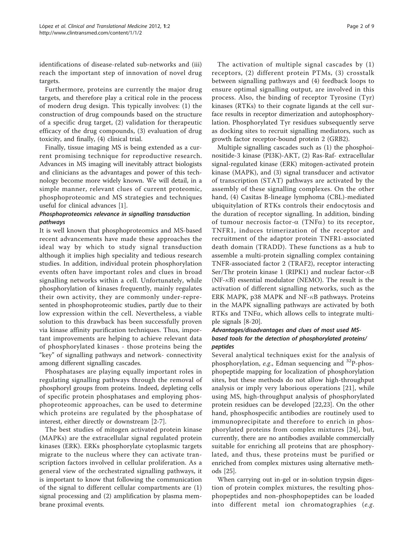identifications of disease-related sub-networks and (iii) reach the important step of innovation of novel drug targets.

Furthermore, proteins are currently the major drug targets, and therefore play a critical role in the process of modern drug design. This typically involves: (1) the construction of drug compounds based on the structure of a specific drug target, (2) validation for therapeutic efficacy of the drug compounds, (3) evaluation of drug toxicity, and finally, (4) clinical trial.

Finally, tissue imaging MS is being extended as a current promising technique for reproductive research. Advances in MS imaging will inevitably attract biologists and clinicians as the advantages and power of this technology become more widely known. We will detail, in a simple manner, relevant clues of current proteomic, phosphoproteomic and MS strategies and techniques useful for clinical advances [[1](#page-6-0)].

#### Phosphoproteomics relevance in signalling transduction pathways

It is well known that phosphoproteomics and MS-based recent advancements have made these approaches the ideal way by which to study signal transduction although it implies high speciality and tedious research studies. In addition, individual protein phosphorylation events often have important roles and clues in broad signalling networks within a cell. Unfortunately, while phosphorylation of kinases frequently, mainly regulates their own activity, they are commonly under-represented in phosphoproteomic studies, partly due to their low expression within the cell. Nevertheless, a viable solution to this drawback has been successfully proven via kinase affinity purification techniques. Thus, important improvements are helping to achieve relevant data of phosphorylated kinases - those proteins being the "key" of signalling pathways and network- connectivity among different signalling cascades.

Phosphatases are playing equally important roles in regulating signalling pathways through the removal of phosphoryl groups from proteins. Indeed, depleting cells of specific protein phosphatases and employing phosphoproteomic approaches, can be used to determine which proteins are regulated by the phosphatase of interest, either directly or downstream [[2-7](#page-6-0)].

The best studies of mitogen activated protein kinase (MAPKs) are the extracellular signal regulated protein kinases (ERK). ERKs phosphorylate cytoplasmic targets migrate to the nucleus where they can activate transcription factors involved in cellular proliferation. As a general view of the orchestrated signalling pathways, it is important to know that following the communication of the signal to different cellular compartments are (1) signal processing and (2) amplification by plasma membrane proximal events.

The activation of multiple signal cascades by (1) receptors, (2) different protein PTMs, (3) crosstalk between signalling pathways and (4) feedback loops to ensure optimal signalling output, are involved in this process. Also, the binding of receptor Tyrosine (Tyr) kinases (RTKs) to their cognate ligands at the cell surface results in receptor dimerization and autophosphorylation. Phosphorylated Tyr residues subsequently serve as docking sites to recruit signalling mediators, such as growth factor receptor-bound protein 2 (GRB2).

Multiple signalling cascades such as (1) the phosphoinositide-3 kinase (PI3K)-AKT, (2) Ras-Raf- extracellular signal-regulated kinase (ERK) mitogen-activated protein kinase (MAPK), and (3) signal transducer and activator of transcription (STAT) pathways are activated by the assembly of these signalling complexes. On the other hand, (4) Casitas B-lineage lymphoma (CBL)-mediated ubiquitylation of RTKs controls their endocytosis and the duration of receptor signalling. In addition, binding of tumour necrosis factor- $\alpha$  (TNF $\alpha$ ) to its receptor, TNFR1, induces trimerization of the receptor and recruitment of the adaptor protein TNFR1-associated death domain (TRADD). These functions as a hub to assemble a multi-protein signalling complex containing TNFR-associated factor 2 (TRAF2), receptor interacting Ser/Thr protein kinase 1 (RIPK1) and nuclear factor- $\kappa$ B ( $NF-\kappa B$ ) essential modulator ( $NEMO$ ). The result is the activation of different signalling networks, such as the ERK MAPK, p38 MAPK and NF- $\kappa$ B pathways. Proteins in the MAPK signalling pathways are activated by both RTKs and  $TNF\alpha$ , which allows cells to integrate multiple signals [[8](#page-6-0)-[20\]](#page-6-0).

## Advantages/disadvantages and clues of most used MSbased tools for the detection of phosphorylated proteins/ peptides

Several analytical techniques exist for the analysis of phosphorylation, e.g., Edman sequencing and  $^{32}P$ -phosphopeptide mapping for localization of phosphorylation sites, but these methods do not allow high-throughput analysis or imply very laborious operations [[21\]](#page-7-0), while using MS, high-throughput analysis of phosphorylated protein residues can be developed [\[22,23](#page-7-0)]. On the other hand, phosphospecific antibodies are routinely used to immunoprecipitate and therefore to enrich in phosphorylated proteins from complex mixtures [\[24\]](#page-7-0), but, currently, there are no antibodies available commercially suitable for enriching all proteins that are phosphorylated, and thus, these proteins must be purified or enriched from complex mixtures using alternative methods [\[25\]](#page-7-0).

When carrying out in-gel or in-solution trypsin digestion of protein complex mixtures, the resulting phosphopeptides and non-phosphopeptides can be loaded into different metal ion chromatographies (e.g.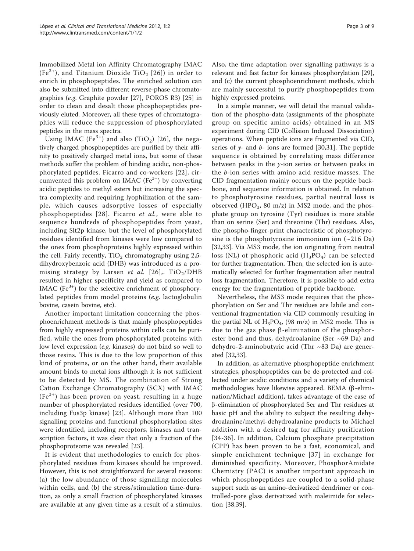Immobilized Metal ion Affinity Chromatography IMAC  $(Fe^{3})$ , and Titanium Dioxide TiO<sub>2</sub> [[26](#page-7-0)]) in order to enrich in phosphopeptides. The enriched solution can also be submitted into different reverse-phase chromatographies (e.g. Graphite powder [[27\]](#page-7-0), POROS R3) [[25\]](#page-7-0) in order to clean and desalt those phosphopeptides previously eluted. Moreover, all these types of chromatographies will reduce the suppression of phosphorylated peptides in the mass spectra.

Using IMAC (Fe<sup>3+</sup>) and also (TiO<sub>2</sub>) [\[26\]](#page-7-0), the negatively charged phosphopeptides are purified by their affinity to positively charged metal ions, but some of these methods suffer the problem of binding acidic, non-phosphorylated peptides. Ficarro and co-workers [[22](#page-7-0)], circumvented this problem on IMAC ( $Fe<sup>3+</sup>$ ) by converting acidic peptides to methyl esters but increasing the spectra complexity and requiring lyophilization of the sample, which causes adsorptive losses of especially phosphopeptides [[28\]](#page-7-0). Ficarro et al., were able to sequence hundreds of phosphopeptides from yeast, including Slt2p kinase, but the level of phosphorylated residues identified from kinases were low compared to the ones from phosphoproteins highly expressed within the cell. Fairly recently,  $TiO<sub>2</sub>$  chromatography using 2,5dihydroxybenzoic acid (DHB) was introduced as a pro-mising strategy by Larsen et al. [[26\]](#page-7-0),.  $TiO<sub>2</sub>/DHB$ resulted in higher specificity and yield as compared to IMAC (Fe<sup>3+</sup>) for the selective enrichment of phosphorylated peptides from model proteins (e.g. lactoglobulin bovine, casein bovine, etc).

Another important limitation concerning the phosphoenrichment methods is that mainly phosphopeptides from highly expressed proteins within cells can be purified, while the ones from phosphorylated proteins with low level expression (e.g. kinases) do not bind so well to those resins. This is due to the low proportion of this kind of proteins, or on the other hand, their available amount binds to metal ions although it is not sufficient to be detected by MS. The combination of Strong Cation Exchange Chromatography (SCX) with IMAC  $(Fe<sup>3+</sup>)$  has been proven on yeast, resulting in a huge number of phosphorylated residues identified (over 700, including Fus3p kinase) [[23](#page-7-0)]. Although more than 100 signalling proteins and functional phosphorylation sites were identified, including receptors, kinases and transcription factors, it was clear that only a fraction of the phosphoproteome was revealed [[23\]](#page-7-0).

It is evident that methodologies to enrich for phosphorylated residues from kinases should be improved. However, this is not straightforward for several reasons: (a) the low abundance of those signalling molecules within cells, and (b) the stress/stimulation time-duration, as only a small fraction of phosphorylated kinases are available at any given time as a result of a stimulus.

Also, the time adaptation over signalling pathways is a relevant and fast factor for kinases phosphorylation [\[29](#page-7-0)], and (c) the current phosphoenrichment methods, which are mainly successful to purify phosphopeptides from highly expressed proteins.

In a simple manner, we will detail the manual validation of the phospho-data (assignments of the phosphate group on specific amino acids) obtained in an MS experiment during CID (Collision Induced Dissociation) operations. When peptide ions are fragmented via CID, series of  $y$ - and  $b$ - ions are formed [\[30](#page-7-0),[31\]](#page-7-0). The peptide sequence is obtained by correlating mass difference between peaks in the y-ion series or between peaks in the b-ion series with amino acid residue masses. The CID fragmentation mainly occurs on the peptide backbone, and sequence information is obtained. In relation to phosphotyrosine residues, partial neutral loss is observed (HPO<sub>3</sub>, 80 m/z) in MS2 mode, and the phosphate group on tyrosine (Tyr) residues is more stable than on serine (Ser) and threonine (Thr) residues. Also, the phospho-finger-print characteristic of phosphotyrosine is the phosphotyrosine immonium ion  $(\sim 216$  Da) [[32,33\]](#page-7-0). Via MS3 mode, the ion originating from neutral loss (NL) of phosphoric acid  $(H_3PO_4)$  can be selected for further fragmentation. Then, the selected ion is automatically selected for further fragmentation after neutral loss fragmentation. Therefore, it is possible to add extra energy for the fragmentation of peptide backbone.

Nevertheless, the MS3 mode requires that the phosphorylation on Ser and Thr residues are labile and conventional fragmentation via CID commonly resulting in the partial NL of  $H_3PO_4$ , (98 m/z) in MS2 mode. This is due to the gas phase  $\beta$ -elimination of the phosphorester bond and thus, dehydroalanine (Ser ~69 Da) and dehydro-2-aminobutyric acid (Thr ~83 Da) are generated [\[32,33\]](#page-7-0).

In addition, as alternative phosphopeptide enrichment strategies, phosphopeptides can be de-protected and collected under acidic conditions and a variety of chemical methodologies have likewise appeared. BEMA  $(\beta$ -elimination/Michael addition), takes advantage of the ease of b-elimination of phosphorylated Ser and Thr residues at basic pH and the ability to subject the resulting dehydroalanine/methyl-dehydroalanine products to Michael addition with a desired tag for affinity purification [[34-36\]](#page-7-0). In addition, Calcium phosphate precipitation (CPP) has been proven to be a fast, economical, and simple enrichment technique [[37](#page-7-0)] in exchange for diminished specificity. Moreover, PhosphorAmidate Chemistry (PAC) is another important approach in which phosphopeptides are coupled to a solid-phase support such as an amino-derivatized dendrimer or controlled-pore glass derivatized with maleimide for selection [\[38,39\]](#page-7-0).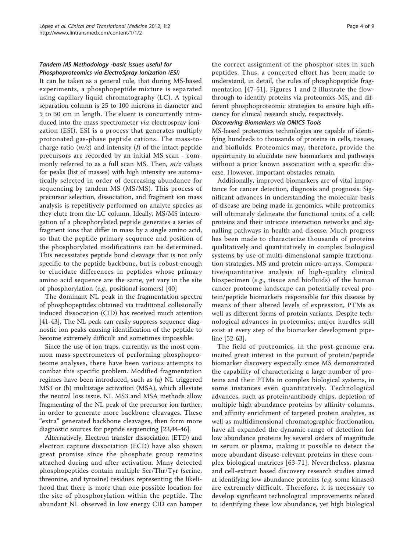## Tandem MS Methodology -basic issues useful for Phosphoproteomics via ElectroSpray Ionization (ESI)

It can be taken as a general rule, that during MS-based experiments, a phosphopeptide mixture is separated using capillary liquid chromatography (LC). A typical separation column is 25 to 100 microns in diameter and 5 to 30 cm in length. The eluent is concurrently introduced into the mass spectrometer via electrospray ionization (ESI). ESI is a process that generates multiply protonated gas-phase peptide cations. The mass-tocharge ratio  $(m/z)$  and intensity  $(I)$  of the intact peptide precursors are recorded by an initial MS scan - commonly referred to as a full scan MS. Then,  $m/z$  values for peaks (list of masses) with high intensity are automatically selected in order of decreasing abundance for sequencing by tandem MS (MS/MS). This process of precursor selection, dissociation, and fragment ion mass analysis is repetitively performed on analyte species as they elute from the LC column. Ideally, MS/MS interrogation of a phosphorylated peptide generates a series of fragment ions that differ in mass by a single amino acid, so that the peptide primary sequence and position of the phosphorylated modifications can be determined. This necessitates peptide bond cleavage that is not only specific to the peptide backbone, but is robust enough to elucidate differences in peptides whose primary amino acid sequence are the same, yet vary in the site of phosphorylation (e.g., positional isomers) [[40\]](#page-7-0)

The dominant NL peak in the fragmentation spectra of phosphopeptides obtained via traditional collisionally induced dissociation (CID) has received much attention [[41-43\]](#page-7-0). The NL peak can easily suppress sequence diagnostic ion peaks causing identification of the peptide to become extremely difficult and sometimes impossible.

Since the use of ion traps, currently, as the most common mass spectrometers of performing phosphoproteome analyses, there have been various attempts to combat this specific problem. Modified fragmentation regimes have been introduced, such as (a) NL triggered MS3 or (b) multistage activation (MSA), which alleviate the neutral loss issue. NL MS3 and MSA methods allow fragmenting of the NL peak of the precursor ion further, in order to generate more backbone cleavages. These "extra" generated backbone cleavages, then form more diagnostic sources for peptide sequencing [\[23,44](#page-7-0)-[46](#page-7-0)].

Alternatively, Electron transfer dissociation (ETD) and electron capture dissociation (ECD) have also shown great promise since the phosphate group remains attached during and after activation. Many detected phosphopeptides contain multiple Ser/Thr/Tyr (serine, threonine, and tyrosine) residues representing the likelihood that there is more than one possible location for the site of phosphorylation within the peptide. The abundant NL observed in low energy CID can hamper

the correct assignment of the phosphor-sites in such peptides. Thus, a concerted effort has been made to understand, in detail, the rules of phosphopeptide fragmentation [[47](#page-7-0)-[51](#page-7-0)]. Figures [1](#page-4-0) and [2](#page-5-0) illustrate the flowthrough to identify proteins via proteomics-MS, and different phosphoproteomic strategies to ensure high efficiency for clinical research study, respectively.

#### Discovering Biomarkers via OMICS Tools

MS-based proteomics technologies are capable of identifying hundreds to thousands of proteins in cells, tissues, and biofluids. Proteomics may, therefore, provide the opportunity to elucidate new biomarkers and pathways without a prior known association with a specific disease. However, important obstacles remain.

Additionally, improved biomarkers are of vital importance for cancer detection, diagnosis and prognosis. Significant advances in understanding the molecular basis of disease are being made in genomics, while proteomics will ultimately delineate the functional units of a cell: proteins and their intricate interaction networks and signalling pathways in health and disease. Much progress has been made to characterize thousands of proteins qualitatively and quantitatively in complex biological systems by use of multi-dimensional sample fractionation strategies, MS and protein micro-arrays. Comparative/quantitative analysis of high-quality clinical biospecimen (e.g., tissue and biofluids) of the human cancer proteome landscape can potentially reveal protein/peptide biomarkers responsible for this disease by means of their altered levels of expression, PTMs as well as different forms of protein variants. Despite technological advances in proteomics, major hurdles still exist at every step of the biomarker development pipeline [[52](#page-7-0)[-63](#page-8-0)].

The field of proteomics, in the post-genome era, incited great interest in the pursuit of protein/peptide biomarker discovery especially since MS demonstrated the capability of characterizing a large number of proteins and their PTMs in complex biological systems, in some instances even quantitatively. Technological advances, such as protein/antibody chips, depletion of multiple high abundance proteins by affinity columns, and affinity enrichment of targeted protein analytes, as well as multidimensional chromatographic fractionation, have all expanded the dynamic range of detection for low abundance proteins by several orders of magnitude in serum or plasma, making it possible to detect the more abundant disease-relevant proteins in these complex biological matrices [[63-71\]](#page-8-0). Nevertheless, plasma and cell-extract based discovery research studies aimed at identifying low abundance proteins (e.g. some kinases) are extremely difficult. Therefore, it is necessary to develop significant technological improvements related to identifying these low abundance, yet high biological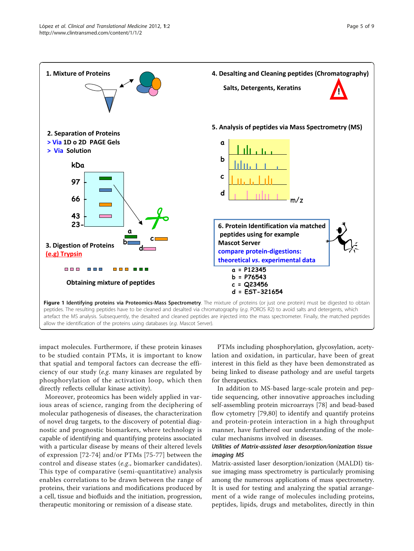<span id="page-4-0"></span>

allow the identification of the proteins using databases (e.g. Mascot Server).

impact molecules. Furthermore, if these protein kinases to be studied contain PTMs, it is important to know that spatial and temporal factors can decrease the efficiency of our study (e.g. many kinases are regulated by phosphorylation of the activation loop, which then directly reflects cellular kinase activity).

Moreover, proteomics has been widely applied in various areas of science, ranging from the deciphering of molecular pathogenesis of diseases, the characterization of novel drug targets, to the discovery of potential diagnostic and prognostic biomarkers, where technology is capable of identifying and quantifying proteins associated with a particular disease by means of their altered levels of expression [[72](#page-8-0)-[74\]](#page-8-0) and/or PTMs [\[75](#page-8-0)-[77](#page-8-0)] between the control and disease states (e.g., biomarker candidates). This type of comparative (semi-quantitative) analysis enables correlations to be drawn between the range of proteins, their variations and modifications produced by a cell, tissue and biofluids and the initiation, progression, therapeutic monitoring or remission of a disease state.

PTMs including phosphorylation, glycosylation, acetylation and oxidation, in particular, have been of great interest in this field as they have been demonstrated as being linked to disease pathology and are useful targets for therapeutics.

In addition to MS-based large-scale protein and peptide sequencing, other innovative approaches including self-assembling protein microarrays [\[78\]](#page-8-0) and bead-based flow cytometry [[79,80](#page-8-0)] to identify and quantify proteins and protein-protein interaction in a high throughput manner, have furthered our understanding of the molecular mechanisms involved in diseases.

## Utilities of Matrix-assisted laser desorption/ionization tissue imaging MS

Matrix-assisted laser desorption/ionization (MALDI) tissue imaging mass spectrometry is particularly promising among the numerous applications of mass spectrometry. It is used for testing and analyzing the spatial arrangement of a wide range of molecules including proteins, peptides, lipids, drugs and metabolites, directly in thin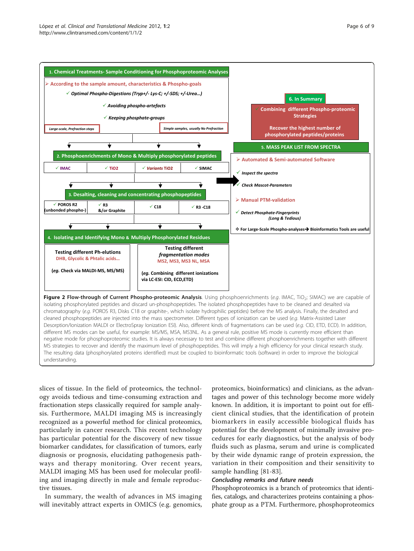<span id="page-5-0"></span>

slices of tissue. In the field of proteomics, the technology avoids tedious and time-consuming extraction and fractionation steps classically required for sample analysis. Furthermore, MALDI imaging MS is increasingly recognized as a powerful method for clinical proteomics, particularly in cancer research. This recent technology has particular potential for the discovery of new tissue biomarker candidates, for classification of tumors, early diagnosis or prognosis, elucidating pathogenesis pathways and therapy monitoring. Over recent years, MALDI imaging MS has been used for molecular profiling and imaging directly in male and female reproductive tissues.

In summary, the wealth of advances in MS imaging will inevitably attract experts in OMICS (e.g. genomics, proteomics, bioinformatics) and clinicians, as the advantages and power of this technology become more widely known. In addition, it is important to point out for efficient clinical studies, that the identification of protein biomarkers in easily accessible biological fluids has potential for the development of minimally invasive procedures for early diagnostics, but the analysis of body fluids such as plasma, serum and urine is complicated by their wide dynamic range of protein expression, the variation in their composition and their sensitivity to sample handling [\[81-83](#page-8-0)].

#### Concluding remarks and future needs

Phosphoproteomics is a branch of proteomics that identifies, catalogs, and characterizes proteins containing a phosphate group as a PTM. Furthermore, phosphoproteomics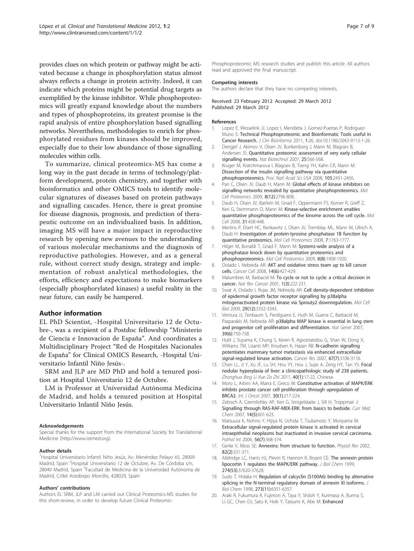<span id="page-6-0"></span>provides clues on which protein or pathway might be activated because a change in phosphorylation status almost always reflects a change in protein activity. Indeed, it can indicate which proteins might be potential drug targets as exemplified by the kinase inhibitor. While phosphoproteomics will greatly expand knowledge about the numbers and types of phosphoproteins, its greatest promise is the rapid analysis of entire phosphorylation based signalling networks. Nevertheless, methodologies to enrich for phosphorylated residues from kinases should be improved, especially due to their low abundance of those signalling molecules within cells.

To summarize, clinical proteomics-MS has come a long way in the past decade in terms of technology/platform development, protein chemistry, and together with bioinformatics and other OMICS tools to identify molecular signatures of diseases based on protein pathways and signalling cascades. Hence, there is great promise for disease diagnosis, prognosis, and prediction of therapeutic outcome on an individualized basis. In addition, imaging MS will have a major impact in reproductive research by opening new avenues to the understanding of various molecular mechanisms and the diagnosis of reproductive pathologies. However, and as a general rule, without correct study design, strategy and implementation of robust analytical methodologies, the efforts, efficiency and expectations to make biomarkers (especially phosphorylated kinases) a useful reality in the near future, can easily be hampered.

#### Author information

EL PhD Scientist, -Hospital Universitario 12 de Octubre-, was a recipient of a Postdoc fellowship "Ministerio de Ciencia e Innovacion de España". And coordinates a Multidisciplinary Project "Red de Hospitales Nacionales de España" for Clinical OMICS Research, -Hospital Universitario Infantil Niño Jesús-.

SRM and JLP are MD PhD and hold a tenured position at Hospital Universitario 12 de Octubre.

LM is Professor at Universidad Autónoma Medicina de Madrid, and holds a tenured position at Hospital Universitario Infantil Niño Jesús.

#### Acknowledgements

Special thanks for the support from the International Society for Translational Medicine [\(http://www.istmed.org](http://www.istmed.org)).

#### Author details

<sup>1</sup>Hospital Universitario Infantil Niño Jesús, Av. Menéndez Pelayo 65, 28009 Madrid, Spain <sup>2</sup>Hospital Universitario 12 de Octubre, Av. De Córdoba s/n, 28040 Madrid, Spain<sup>3</sup> Facultad de Medicina de la Universidad Autónoma de Madrid, C/del Arzobispo Morcillo, 428029, Spain

#### Authors' contributions

Authors EL SRM, JLP and LM carried out Clinical Proteomics-MS studies for this short-review, in order to develop future Clinical ProteomicPhosphoproteomic MS research studies and publish this article. All authors read and approved the final manuscript.

#### Competing interests

The authors declare that they have no competing interests.

Received: 23 February 2012 Accepted: 29 March 2012 Published: 29 March 2012

#### References

- 1. Lopez E, Wesselink JJ, Lopez I, Mendieta J, Gomez-Puertas P, Rodriguez-Muno S: [Technical Phosphoproteomic and Bioinformatic Tools useful in](http://www.ncbi.nlm.nih.gov/pubmed/21967744?dopt=Abstract) [Cancer Research.](http://www.ncbi.nlm.nih.gov/pubmed/21967744?dopt=Abstract) J Clin Bioinforma 2011, 1:26, doi:10.1186/2043-9113-1-26.
- 2. Dengjel J, Akimov V, Olsen JV, Bunkenborg J, Mann M, Blagoev B, Andersen JS: [Quantitative proteomic assessment of very early cellular](http://www.ncbi.nlm.nih.gov/pubmed/17450129?dopt=Abstract) [signalling events.](http://www.ncbi.nlm.nih.gov/pubmed/17450129?dopt=Abstract) Nat Biotechnol 2007, 25:566-568.
- 3. Kruger M, Kratchmarova I, Blagoev B, Tseng YH, Kahn CR, Mann M: [Dissection of the insulin signalling pathway via quantitative](http://www.ncbi.nlm.nih.gov/pubmed/18268350?dopt=Abstract) [phosphoproteomics.](http://www.ncbi.nlm.nih.gov/pubmed/18268350?dopt=Abstract) Proc Natl Acad Sci USA 2008, 105:2451-2456.
- 4. Pan C, Olsen JV, Daub H, Mann M: [Global effects of kinase inhibitors on](http://www.ncbi.nlm.nih.gov/pubmed/19651622?dopt=Abstract) [signalling networks revealed by quantitative phosphoproteomics.](http://www.ncbi.nlm.nih.gov/pubmed/19651622?dopt=Abstract) Mol Cell Proteomics 2009, 8(12):2796-808.
- 5. Daub H, Olsen JV, Bairlein M, Gnad F, Oppermann FS, Korner R, Greff Z, Keri G, Stemmann O, Mann M: [Kinase-selective enrichment enables](http://www.ncbi.nlm.nih.gov/pubmed/18691976?dopt=Abstract) [quantitative phosphoproteomics of the kinome across the cell cycle.](http://www.ncbi.nlm.nih.gov/pubmed/18691976?dopt=Abstract) Mol Cell 2008, 31:438-448.
- 6. Mertins P, Eberl HC, Renkawitz J, Olsen JV, Tremblay ML, Mann M, Ullrich A, Daub H: [Investigation of protein-tyrosine phosphatase 1B function by](http://www.ncbi.nlm.nih.gov/pubmed/18515860?dopt=Abstract) [quantitative proteomics.](http://www.ncbi.nlm.nih.gov/pubmed/18515860?dopt=Abstract) Mol Cell Proteomics 2008, 7:1763-1777.
- 7. Hilger M, Bonaldi T, Gnad F, Mann M: [Systems-wide analysis of a](http://www.ncbi.nlm.nih.gov/pubmed/19429919?dopt=Abstract) [phosphatase knock down by quantitative proteomics and](http://www.ncbi.nlm.nih.gov/pubmed/19429919?dopt=Abstract) [phosphoproteomics.](http://www.ncbi.nlm.nih.gov/pubmed/19429919?dopt=Abstract) Mol Cell Proteomics 2009, 8(8):1908-1920.
- 8. Dolado I, Nebreda AR: [AKT and oxidative stress team up to kill cancer](http://www.ncbi.nlm.nih.gov/pubmed/19061832?dopt=Abstract) [cells.](http://www.ncbi.nlm.nih.gov/pubmed/19061832?dopt=Abstract) Cancer Cell 2008, 14(6):427-429.
- 9. Malumbres M, Barbacid M: [To cycle or not to cycle: a critical decision in](http://www.ncbi.nlm.nih.gov/pubmed/11902577?dopt=Abstract) [cancer.](http://www.ncbi.nlm.nih.gov/pubmed/11902577?dopt=Abstract) Nat Rev Cancer 2001, 1(3):222-231.
- 10. Swat A, Dolado I, Rojas JM, Nebreda AR: [Cell density-dependent inhibition](http://www.ncbi.nlm.nih.gov/pubmed/19364817?dopt=Abstract) [of epidermal growth factor receptor signalling by p38alpha](http://www.ncbi.nlm.nih.gov/pubmed/19364817?dopt=Abstract) [mitogenactivated protein kinase via Sprouty2 downregulation.](http://www.ncbi.nlm.nih.gov/pubmed/19364817?dopt=Abstract) Mol Cell Biol 2009, 29(12):3332-3343.
- 11. Ventura JJ, Tenbaum S, Perdiguero E, Huth M, Guerra C, Barbacid M, Pasparakis M, Nebreda AR: [p38alpha MAP kinase is essential in lung stem](http://www.ncbi.nlm.nih.gov/pubmed/17468755?dopt=Abstract) [and progenitor cell proliferation and differentiation.](http://www.ncbi.nlm.nih.gov/pubmed/17468755?dopt=Abstract) Nat Genet 2007, 39(6):750-758.
- 12. Hulit J, Suyama K, Chung S, Keren R, Agiostratidou G, Shan W, Dong X, Williams TM, Lisanti MP, Knudsen K, Hazan RB: [N-cadherin signalling](http://www.ncbi.nlm.nih.gov/pubmed/17409417?dopt=Abstract) [potentiates mammary tumor metastasis via enhanced extracellular](http://www.ncbi.nlm.nih.gov/pubmed/17409417?dopt=Abstract) [signal-regulated kinase activation.](http://www.ncbi.nlm.nih.gov/pubmed/17409417?dopt=Abstract) Cancer Res 2007, 67(7):3106-3116.
- 13. Chen LL, Ji Y, Xu JF, Lu SH, Hou YY, Hou J, Sujie A, Zeng HY, Tan YS: [Focal](http://www.ncbi.nlm.nih.gov/pubmed/21429353?dopt=Abstract) [nodular hyperplasia of liver: a clinicopathologic study of 238 patients.](http://www.ncbi.nlm.nih.gov/pubmed/21429353?dopt=Abstract) Zhonghua Bing Li Xue Za Zhi 2011, 40(1):17-22, Chinese.
- 14. Moro L, Arbini AA, Marra E, Greco M: [Constitutive activation of MAPK/ERK](http://www.ncbi.nlm.nih.gov/pubmed/17143532?dopt=Abstract) [inhibits prostate cancer cell proliferation through upregulation of](http://www.ncbi.nlm.nih.gov/pubmed/17143532?dopt=Abstract) [BRCA2.](http://www.ncbi.nlm.nih.gov/pubmed/17143532?dopt=Abstract) Int J Oncol 2007, 30(1):217-224.
- 15. Zebisch A, Czernilofsky AP, Keri G, Smigelskaite J, Sill H, Troppmair J: [Signalling through RAS-RAF-MEK-ERK: from basics to bedside.](http://www.ncbi.nlm.nih.gov/pubmed/17346150?dopt=Abstract) Curr Med Chem 2007, 14(5):601-623.
- 16. Matsuura K, Nohno Y, Hijiya N, Uchida T, Tsukamoto Y, Moriyama M: [Extracellular signal-regulated protein kinase is activated in cervical](http://www.ncbi.nlm.nih.gov/pubmed/16792545?dopt=Abstract) [intraepithelial neoplasms but inactivated in invasive cervical carcinoma.](http://www.ncbi.nlm.nih.gov/pubmed/16792545?dopt=Abstract) Pathol Int 2006, 56(7):368-374.
- 17. Gerke V, Moss SE: [Annexins: from structure to function.](http://www.ncbi.nlm.nih.gov/pubmed/11917092?dopt=Abstract) Physiol Rev 2002, 82(2):331-371.
- 18. Alldridge LC, Harris HJ, Plevin R, Hannon R, Bryant CE: [The annexin protein](http://www.ncbi.nlm.nih.gov/pubmed/10608817?dopt=Abstract) [lipocortin 1 regulates the MAPK/ERK pathway.](http://www.ncbi.nlm.nih.gov/pubmed/10608817?dopt=Abstract) J Biol Chem 1999, 274(53):37620-37628.
- 19. Sudo T, Hidaka H: [Regulation of calcyclin \(S100A6\) binding by alternative](http://www.ncbi.nlm.nih.gov/pubmed/9497364?dopt=Abstract) [splicing in the N-terminal regulatory domain of annexin XI isoforms.](http://www.ncbi.nlm.nih.gov/pubmed/9497364?dopt=Abstract) J Biol Chem 1998, 273(11):6351-6357.
- 20. Araki R, Fukumura R, Fujimori A, Taya Y, Shiloh Y, Kurimasa A, Burma S, Li GC, Chen DJ, Sato K, Hoki Y, Tatsumi K, Abe M: [Enhanced](http://www.ncbi.nlm.nih.gov/pubmed/10446957?dopt=Abstract)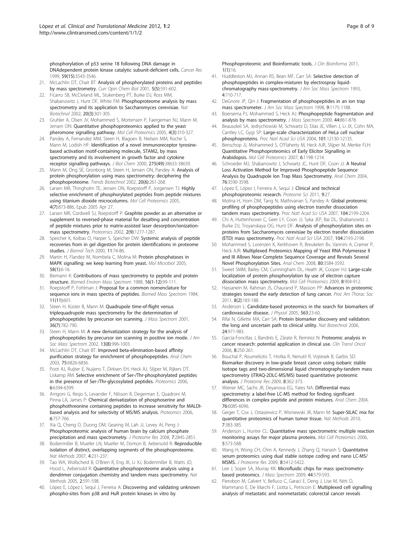<span id="page-7-0"></span>[phosphorylation of p53 serine 18 following DNA damage in](http://www.ncbi.nlm.nih.gov/pubmed/10446957?dopt=Abstract) [DNAdependent protein kinase catalytic subunit-deficient cells.](http://www.ncbi.nlm.nih.gov/pubmed/10446957?dopt=Abstract) Cancer Res 1999, 59(15):3543-3546.

- 21. McLachlin DT, Chait BT: [Analysis of phosphorylated proteins and peptides](http://www.ncbi.nlm.nih.gov/pubmed/11578935?dopt=Abstract) [by mass spectrometry.](http://www.ncbi.nlm.nih.gov/pubmed/11578935?dopt=Abstract) Curr Opin Chem Biol 2001, 5(5):591-602.
- 22. Ficarro SB, McCleland ML, Stukenberg PT, Burke DJ, Ross MM, Shabanowitz J, Hunt DF, White FM: [Phosphoproteome analysis by mass](http://www.ncbi.nlm.nih.gov/pubmed/11875433?dopt=Abstract) [spectrometry and its application to Saccharomyces cerevisiae.](http://www.ncbi.nlm.nih.gov/pubmed/11875433?dopt=Abstract) Nat Biotechnol 2002, 20(3):301-305.
- 23. Gruhler A, Olsen JV, Mohammed S, Mortensen P, Faergeman NJ, Mann M, Jensen ON: [Quantitative phosphoproteomics applied to the yeast](http://www.ncbi.nlm.nih.gov/pubmed/15665377?dopt=Abstract) [pheromone signalling pathway.](http://www.ncbi.nlm.nih.gov/pubmed/15665377?dopt=Abstract) Mol Cell Proteomics 2005, 4(3):310-327.
- 24. Pandey A, Fernandez MM, Steen H, Blagoev B, Nielsen MM, Roche S, Mann M, Lodish HF: [Identification of a novel immunoreceptor tyrosine](http://www.ncbi.nlm.nih.gov/pubmed/10993906?dopt=Abstract)[based activation motif-containing molecule, STAM2, by mass](http://www.ncbi.nlm.nih.gov/pubmed/10993906?dopt=Abstract) [spectrometry and its involvement in growth factor and cytokine](http://www.ncbi.nlm.nih.gov/pubmed/10993906?dopt=Abstract) [receptor signalling pathways.](http://www.ncbi.nlm.nih.gov/pubmed/10993906?dopt=Abstract) J Biol Chem 2000, 275(49):38633-38639.
- 25. Mann M, Ong SE, Gronborg M, Steen H, Jensen ON, Pandey A: [Analysis of](http://www.ncbi.nlm.nih.gov/pubmed/12007495?dopt=Abstract) [protein phosphorylation using mass spectrometry: deciphering the](http://www.ncbi.nlm.nih.gov/pubmed/12007495?dopt=Abstract) [phosphoproteome.](http://www.ncbi.nlm.nih.gov/pubmed/12007495?dopt=Abstract) Trends Biotechnol 2002, 20(6):261-268.
- 26. Larsen MR, Thingholm TE, Jensen ON, Roepstorff P, Jorgensen TJ: [Highly](http://www.ncbi.nlm.nih.gov/pubmed/15858219?dopt=Abstract) [selective enrichment of phosphorylated peptides from peptide mixtures](http://www.ncbi.nlm.nih.gov/pubmed/15858219?dopt=Abstract) [using titanium dioxide microcolumns.](http://www.ncbi.nlm.nih.gov/pubmed/15858219?dopt=Abstract) Mol Cell Proteomics 2005, 4(7):873-886, Epub 2005 Apr 27.
- 27. Larsen MR, Cordwell SJ, Roepstorff P: [Graphite powder as an alternative or](http://www.ncbi.nlm.nih.gov/pubmed/12362346?dopt=Abstract) [supplement to reversed-phase material for desalting and concentration](http://www.ncbi.nlm.nih.gov/pubmed/12362346?dopt=Abstract) [of peptide mixtures prior to matrix-assisted laser desorption/ionization](http://www.ncbi.nlm.nih.gov/pubmed/12362346?dopt=Abstract)[mass spectrometry.](http://www.ncbi.nlm.nih.gov/pubmed/12362346?dopt=Abstract) Proteomics 2002, 2(9):1277-1287.
- 28. Speicher K, Kolbas O, Harper S, Speicher DW: [Systemic analysis of peptide](http://www.ncbi.nlm.nih.gov/pubmed/19499040?dopt=Abstract) [recoveries from in gel digestion for protein identifications in proteome](http://www.ncbi.nlm.nih.gov/pubmed/19499040?dopt=Abstract) [studies.](http://www.ncbi.nlm.nih.gov/pubmed/19499040?dopt=Abstract) J Biomol Tech 2000, 11:74-86.
- 29. Martin H, Flandez M, Nombela C, Molina M: [Protein phosphatases in](http://www.ncbi.nlm.nih.gov/pubmed/16164545?dopt=Abstract) [MAPK signalling: we keep learning from yeast.](http://www.ncbi.nlm.nih.gov/pubmed/16164545?dopt=Abstract) Mol Microbiol 2005, 58(1):6-16.
- 30. Biemann K: [Contributions of mass spectrometry to peptide and protein](http://www.ncbi.nlm.nih.gov/pubmed/3072035?dopt=Abstract) [structure.](http://www.ncbi.nlm.nih.gov/pubmed/3072035?dopt=Abstract) Biomed Environ Mass Spectrom 1988, 16(1-12):99-111.
- 31. Roepstorff P, Fohlman J: [Proposal for a common nomenclature for](http://www.ncbi.nlm.nih.gov/pubmed/6525415?dopt=Abstract) [sequence ions in mass spectra of peptides.](http://www.ncbi.nlm.nih.gov/pubmed/6525415?dopt=Abstract) Biomed Mass Spectrom 1984, 11(11):601.
- 32. Steen H, Küster B, Mann M: [Quadrupole time-of-flight versus](http://www.ncbi.nlm.nih.gov/pubmed/11473401?dopt=Abstract) [triplequadrupole mass spectrometry for the determination of](http://www.ncbi.nlm.nih.gov/pubmed/11473401?dopt=Abstract) [phosphopeptides by precursor ion scanning.](http://www.ncbi.nlm.nih.gov/pubmed/11473401?dopt=Abstract) J Mass Spectrom 2001, 36(7):782-790.
- 33. Steen H, Mann M: [A new derivatization strategy for the analysis of](http://www.ncbi.nlm.nih.gov/pubmed/12216740?dopt=Abstract) [phosphopeptides by precursor ion scanning in positive ion mode.](http://www.ncbi.nlm.nih.gov/pubmed/12216740?dopt=Abstract) J Am Soc Mass Spectrom 2002, 13(8):996-1003.
- 34. McLachlin DT, Chait BT: [Improved beta-elimination-based affinity](http://www.ncbi.nlm.nih.gov/pubmed/14670042?dopt=Abstract) [purification strategy for enrichment of phosphopeptides.](http://www.ncbi.nlm.nih.gov/pubmed/14670042?dopt=Abstract) Anal Chem 2003, 75:6826-6836.
- 35. Poot AJ, Ruijter E, Nuijens T, Dirksen EH, Heck AJ, Slijper M, Rijkers DT, Liskamp RM: [Selective enrichment of Ser-/Thr-phosphorylated peptides](http://www.ncbi.nlm.nih.gov/pubmed/17163440?dopt=Abstract) [in the presence of Ser-/Thr-glycosylated peptides.](http://www.ncbi.nlm.nih.gov/pubmed/17163440?dopt=Abstract) Proteomics 2006, 6:6394-6399.
- 36. Arrigoni G, Resjo S, Levander F, Nilsson R, Degerman E, Quadroni M, Pinna LA, James P: [Chemical derivatization of phosphoserine and](http://www.ncbi.nlm.nih.gov/pubmed/16372258?dopt=Abstract) [phosphothreonine containing peptides to increase sensitivity for MALDI](http://www.ncbi.nlm.nih.gov/pubmed/16372258?dopt=Abstract)[based analysis and for selectivity of MS/MS analysis.](http://www.ncbi.nlm.nih.gov/pubmed/16372258?dopt=Abstract) Proteomics 2006, 6:757-766.
- 37. Xia Q, Cheng D, Duong DM, Gearing M, Lah JJ, Levey AI, Peng J: [Phosphoproteomic analysis of human brain by calcium phosphate](http://www.ncbi.nlm.nih.gov/pubmed/18510355?dopt=Abstract) [precipitation and mass spectrometry.](http://www.ncbi.nlm.nih.gov/pubmed/18510355?dopt=Abstract) J Proteome Res 2008, 7:2845-2851
- 38. Bodenmiller B, Mueller LN, Mueller M, Domon B, Aebersold R: [Reproducible](http://www.ncbi.nlm.nih.gov/pubmed/17293869?dopt=Abstract) [isolation of distinct, overlapping segments of the phosphoproteome.](http://www.ncbi.nlm.nih.gov/pubmed/17293869?dopt=Abstract) Nat Methods 2007, 4:231-237.
- 39. Tao WA, Wollscheid B, O'Brien R, Eng JK, Li XJ, Bodenmiller B, Watts JD, Hood L, Aebersold R: [Quantitative phosphoproteome analysis using a](http://www.ncbi.nlm.nih.gov/pubmed/16094384?dopt=Abstract) [dendrimer conjugation chemistry and tandem mass spectrometry.](http://www.ncbi.nlm.nih.gov/pubmed/16094384?dopt=Abstract) Nat Methods 2005, 2:591-598.
- 40. López E, López I, Sequí J, Ferreira A: [Discovering and validating unknown](http://www.ncbi.nlm.nih.gov/pubmed/21884634?dopt=Abstract) [phospho-sites from p38 and HuR protein kinases in vitro by](http://www.ncbi.nlm.nih.gov/pubmed/21884634?dopt=Abstract)

[Phosphoproteomic and Bioinformatic tools.](http://www.ncbi.nlm.nih.gov/pubmed/21884634?dopt=Abstract) J Clin Bioinforma 2011, 1(1):16.

- 41. Huddleston MJ, Annan RS, Bean MF, Carr SA: Selective detection of phosphopeptides in complex-mixtures by electrospray liquidchromatography mass-spectrometry. J Am Soc Mass Spectrom 1993, 4:710-717.
- 42. DeGnore JP, Qin J: [Fragmentation of phosphopeptides in an ion trap](http://www.ncbi.nlm.nih.gov/pubmed/9794085?dopt=Abstract) [mass spectrometer.](http://www.ncbi.nlm.nih.gov/pubmed/9794085?dopt=Abstract) J Am Soc Mass Spectrom 1998, 9:1175-1188.
- Boersema PJ, Mohammed S, Heck AJ: [Phosphopeptide fragmentation and](http://www.ncbi.nlm.nih.gov/pubmed/19504542?dopt=Abstract) [analysis by mass spectrometry.](http://www.ncbi.nlm.nih.gov/pubmed/19504542?dopt=Abstract) J Mass Spectrom 2009, 44:861-878.
- 44. Beausoleil SA, Jedrychowski M, Schwartz D, Elias JE, Villen J, Li JX, Cohn MA, Cantley LC, Gygi SP: [Large-scale characterization of HeLa cell nuclear](http://www.ncbi.nlm.nih.gov/pubmed/15302935?dopt=Abstract) [phosphoproteins.](http://www.ncbi.nlm.nih.gov/pubmed/15302935?dopt=Abstract) Proc Natl Acad Sci USA 2004, 101:12130-12135.
- 45. Benschop JJ, Mohammed S, O'Flaherty M, Heck AJR, Slijper M, Menke FLH: [Quantitative Phosphoproteomics of Early Elicitor Signalling in](http://www.ncbi.nlm.nih.gov/pubmed/17317660?dopt=Abstract) [Arabidopsis.](http://www.ncbi.nlm.nih.gov/pubmed/17317660?dopt=Abstract) Mol Cell Proteomics 2007, 6:1198-1214.
- 46. Schroeder MJ, Shabanowitz J, Schwartz JC, Hunt DF, Coon JJ: [A Neutral](http://www.ncbi.nlm.nih.gov/pubmed/15228329?dopt=Abstract) [Loss Activation Method for Improved Phosphopeptide Sequence](http://www.ncbi.nlm.nih.gov/pubmed/15228329?dopt=Abstract) [Analysis by Quadrupole Ion Trap Mass Spectrometry.](http://www.ncbi.nlm.nih.gov/pubmed/15228329?dopt=Abstract) Anal Chem 2004, 76:3590-3598.
- 47. López E, López I, Ferreira A, Sequí J: [Clinical and technical](http://www.ncbi.nlm.nih.gov/pubmed/21635771?dopt=Abstract) [phosphoproteomic research.](http://www.ncbi.nlm.nih.gov/pubmed/21635771?dopt=Abstract) Proteome Sci 2011, 9:27.
- 48. Molina H, Horn DM, Tang N, Mathivanan S, Pandey A: [Global proteomic](http://www.ncbi.nlm.nih.gov/pubmed/17287340?dopt=Abstract) [profiling of phosphopeptides using electron transfer dissociation](http://www.ncbi.nlm.nih.gov/pubmed/17287340?dopt=Abstract) [tandem mass spectrometry.](http://www.ncbi.nlm.nih.gov/pubmed/17287340?dopt=Abstract) Proc Natl Acad Sci USA 2007, 104:2199-2204.
- 49. Chi A, Huttenhower C, Geer LY, Coon JJ, Syka JEP, Bai DL, Shabanowitz J, Burke DJ, Troyanskaya OG, Hunt DF: [Analysis of phosphorylation sites on](http://www.ncbi.nlm.nih.gov/pubmed/17287358?dopt=Abstract) [proteins from Saccharomyces cerevisiae by electron transfer dissociation](http://www.ncbi.nlm.nih.gov/pubmed/17287358?dopt=Abstract) [\(ETD\) mass spectrometry.](http://www.ncbi.nlm.nih.gov/pubmed/17287358?dopt=Abstract) Proc Natl Acad Sci USA 2007, 104:2193-2198.
- 50. Mohammed S, Lorenzen K, Kerkhoven R, Breukelen Bv, Vannini A, Cramer P, Heck AJR: [Multiplexed Proteomics Mapping of Yeast RNA Polymerase II](http://www.ncbi.nlm.nih.gov/pubmed/18416563?dopt=Abstract) [and III Allows Near-Complete Sequence Coverage and Reveals Several](http://www.ncbi.nlm.nih.gov/pubmed/18416563?dopt=Abstract) [Novel Phosphorylation Sites.](http://www.ncbi.nlm.nih.gov/pubmed/18416563?dopt=Abstract) Anal Chem 2008, 80:3584-3592.
- 51. Sweet SMM, Bailey CM, Cunningham DL, Heath JK, Cooper HJ: [Large-scale](http://www.ncbi.nlm.nih.gov/pubmed/19131326?dopt=Abstract) [localization of protein phosphorylation by use of electron capture](http://www.ncbi.nlm.nih.gov/pubmed/19131326?dopt=Abstract) [dissociation mass spectrometry.](http://www.ncbi.nlm.nih.gov/pubmed/19131326?dopt=Abstract) Mol Cell Proteomics 2009, 8:904-912.
- 52. Hassanein M, Rahman JS, Chaurand P, Massion PP: [Advances in proteomic](http://www.ncbi.nlm.nih.gov/pubmed/21543799?dopt=Abstract) [strategies toward the early detection of lung cancer.](http://www.ncbi.nlm.nih.gov/pubmed/21543799?dopt=Abstract) Proc Am Thorac Soc 2011, 8(2):183-188.
- 53. Anderson L: [Candidate-based proteomics in the search for biomarkers of](http://www.ncbi.nlm.nih.gov/pubmed/15611012?dopt=Abstract) [cardiovascular disease.](http://www.ncbi.nlm.nih.gov/pubmed/15611012?dopt=Abstract) J Physiol 2005, 563:23-60.
- 54. Rifai N, Gillette MA, Carr SA: [Protein biomarker discovery and validation:](http://www.ncbi.nlm.nih.gov/pubmed/16900146?dopt=Abstract) [the long and uncertain path to clinical utility.](http://www.ncbi.nlm.nih.gov/pubmed/16900146?dopt=Abstract) Nat Biotechnol 2006, 24:971-983.
- 55. García-Foncillas J, Bandrés E, Zárate R, Remírez N: [Proteomic analysis in](http://www.ncbi.nlm.nih.gov/pubmed/16648100?dopt=Abstract) [cancer research: potential application in clinical use.](http://www.ncbi.nlm.nih.gov/pubmed/16648100?dopt=Abstract) Clin Transl Oncol 2006, 8:250-261.
- 56. Bouchal P, Roumeliotis T, Hrstka R, Nenutil R, Vojtesek B, Garbis SD: [Biomarker discovery in low-grade breast cancer using isobaric stable](http://www.ncbi.nlm.nih.gov/pubmed/19053527?dopt=Abstract) [isotope tags and two-dimensional liquid chromatography-tandem mass](http://www.ncbi.nlm.nih.gov/pubmed/19053527?dopt=Abstract) [spectrometry \(iTRAQ-2DLC-MS/MS\) based quantitative proteomic](http://www.ncbi.nlm.nih.gov/pubmed/19053527?dopt=Abstract) [analysis.](http://www.ncbi.nlm.nih.gov/pubmed/19053527?dopt=Abstract) J Proteome Res 2009, 8:362-373.
- 57. Wiener MC, Sachs JR, Deyanova EG, Yates NA: [Differential mass](http://www.ncbi.nlm.nih.gov/pubmed/15481957?dopt=Abstract) [spectrometry: a label-free LC-MS method for finding significant](http://www.ncbi.nlm.nih.gov/pubmed/15481957?dopt=Abstract) [differences in complex peptide and protein mixtures.](http://www.ncbi.nlm.nih.gov/pubmed/15481957?dopt=Abstract) Anal Chem 2004, 76:6085-6096.
- 58. Geiger T, Cox J, Ostasiewicz P, Wisniewski JR, Mann M: [Super-SILAC mix for](http://www.ncbi.nlm.nih.gov/pubmed/20364148?dopt=Abstract) [quantitative proteomics of human tumor tissue.](http://www.ncbi.nlm.nih.gov/pubmed/20364148?dopt=Abstract) Nat Methods 2010, 7:383-385.
- 59. Anderson L, Hunter CL: [Quantitative mass spectrometric multiple reaction](http://www.ncbi.nlm.nih.gov/pubmed/16332733?dopt=Abstract) [monitoring assays for major plasma proteins.](http://www.ncbi.nlm.nih.gov/pubmed/16332733?dopt=Abstract) Mol Cell Proteomics 2006, 5:573-588.
- 60. Wang H, Wong CH, Chin A, Kennedy J, Zhang Q, Hanash S: [Quantitative](http://www.ncbi.nlm.nih.gov/pubmed/19817497?dopt=Abstract) [serum proteomics using dual stable isotope coding and nano LC-MS/](http://www.ncbi.nlm.nih.gov/pubmed/19817497?dopt=Abstract) [MSMS.](http://www.ncbi.nlm.nih.gov/pubmed/19817497?dopt=Abstract) J Proteome Res 2009, 8:5412-5422.
- 61. Lee J, Soper SA, Murray KK: [Microfluidic chips for mass spectrometry](http://www.ncbi.nlm.nih.gov/pubmed/19373851?dopt=Abstract)[based proteomics.](http://www.ncbi.nlm.nih.gov/pubmed/19373851?dopt=Abstract) J Mass Spectrom 2009, 44:579-593.
- 62. Pierobon M, Calvert V, Belluco C, Garaci E, Deng J, Lise M, Nitti D, Mammano E, De Marchi F, Liotta L, Petricoin E: [Multiplexed cell signalling](http://www.ncbi.nlm.nih.gov/pubmed/19739273?dopt=Abstract) [analysis of metastatic and nonmetastatic colorectal cancer reveals](http://www.ncbi.nlm.nih.gov/pubmed/19739273?dopt=Abstract)